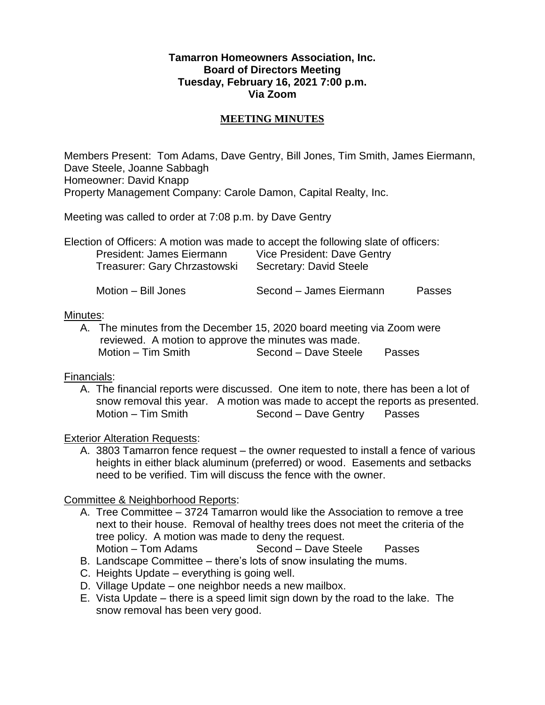## **Tamarron Homeowners Association, Inc. Board of Directors Meeting Tuesday, February 16, 2021 7:00 p.m. Via Zoom**

## **MEETING MINUTES**

Members Present: Tom Adams, Dave Gentry, Bill Jones, Tim Smith, James Eiermann, Dave Steele, Joanne Sabbagh Homeowner: David Knapp Property Management Company: Carole Damon, Capital Realty, Inc.

Meeting was called to order at 7:08 p.m. by Dave Gentry

| Election of Officers: A motion was made to accept the following slate of officers: |                             |        |
|------------------------------------------------------------------------------------|-----------------------------|--------|
| President: James Eiermann                                                          | Vice President: Dave Gentry |        |
| Treasurer: Gary Chrzastowski                                                       | Secretary: David Steele     |        |
| Motion – Bill Jones                                                                | Second – James Fiermann     | Passes |

#### Minutes:

A. The minutes from the December 15, 2020 board meeting via Zoom were reviewed. A motion to approve the minutes was made. Motion – Tim Smith Second – Dave Steele Passes

#### Financials:

A. The financial reports were discussed. One item to note, there has been a lot of snow removal this year. A motion was made to accept the reports as presented. Motion – Tim Smith Second – Dave Gentry Passes

# Exterior Alteration Requests:

A. 3803 Tamarron fence request – the owner requested to install a fence of various heights in either black aluminum (preferred) or wood. Easements and setbacks need to be verified. Tim will discuss the fence with the owner.

# Committee & Neighborhood Reports:

- A. Tree Committee 3724 Tamarron would like the Association to remove a tree next to their house. Removal of healthy trees does not meet the criteria of the tree policy. A motion was made to deny the request. Motion – Tom Adams Second – Dave Steele Passes
- B. Landscape Committee there's lots of snow insulating the mums.
- C. Heights Update everything is going well.
- D. Village Update one neighbor needs a new mailbox.
- E. Vista Update there is a speed limit sign down by the road to the lake. The snow removal has been very good.